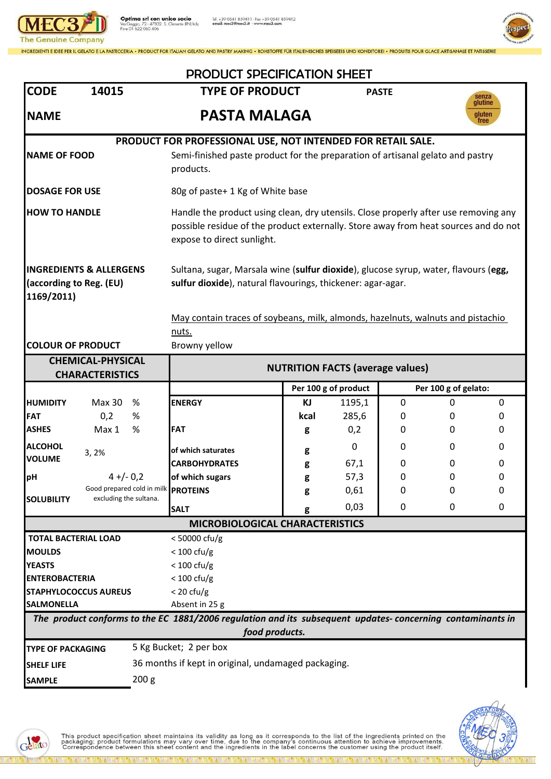

**Optima srl con unico socio**<br>Via Gaggio, 72 - 47832 S. Clemente (RNI) Italy<br>P.iva 01 622 060 406

Tel. +39 0541 859411 - Fax +39 0541 859412<br>email: mec3@mec3.it - www.mec3.com



INGREDIENTI E IDEE PER IL GELATO E LA PASTICCERIA • PRODUCT FOR ITALIAN GELATO AND PASTRY MAKING • ROHSTOFFE FÜR ITALIENISCHES SPEISEEIS UND KONDITOREI • PRODUITS POUR GLACE ARTISANALE ET PATISSERIE

| <b>CODE</b>                                                                                                                 | 14015                                                         | <b>PRODUCT SPECIFICATION SHEET</b><br><b>TYPE OF PRODUCT</b>                                                                                                                                             |      | <b>PASTE</b>         |                      |          |                  |
|-----------------------------------------------------------------------------------------------------------------------------|---------------------------------------------------------------|----------------------------------------------------------------------------------------------------------------------------------------------------------------------------------------------------------|------|----------------------|----------------------|----------|------------------|
|                                                                                                                             |                                                               |                                                                                                                                                                                                          |      |                      |                      |          | senza<br>glutine |
| <b>NAME</b>                                                                                                                 |                                                               | <b>PASTA MALAGA</b><br>gluten<br>free                                                                                                                                                                    |      |                      |                      |          |                  |
| PRODUCT FOR PROFESSIONAL USE, NOT INTENDED FOR RETAIL SALE.                                                                 |                                                               |                                                                                                                                                                                                          |      |                      |                      |          |                  |
| <b>NAME OF FOOD</b>                                                                                                         |                                                               | Semi-finished paste product for the preparation of artisanal gelato and pastry<br>products.                                                                                                              |      |                      |                      |          |                  |
| <b>DOSAGE FOR USE</b>                                                                                                       |                                                               | 80g of paste+ 1 Kg of White base                                                                                                                                                                         |      |                      |                      |          |                  |
| <b>HOW TO HANDLE</b>                                                                                                        |                                                               | Handle the product using clean, dry utensils. Close properly after use removing any<br>possible residue of the product externally. Store away from heat sources and do not<br>expose to direct sunlight. |      |                      |                      |          |                  |
| <b>INGREDIENTS &amp; ALLERGENS</b><br>(according to Reg. (EU)<br>1169/2011)                                                 |                                                               | Sultana, sugar, Marsala wine (sulfur dioxide), glucose syrup, water, flavours (egg,<br>sulfur dioxide), natural flavourings, thickener: agar-agar.                                                       |      |                      |                      |          |                  |
|                                                                                                                             |                                                               | May contain traces of soybeans, milk, almonds, hazelnuts, walnuts and pistachio<br>nuts.                                                                                                                 |      |                      |                      |          |                  |
| <b>COLOUR OF PRODUCT</b>                                                                                                    |                                                               | Browny yellow                                                                                                                                                                                            |      |                      |                      |          |                  |
| <b>CHEMICAL-PHYSICAL</b>                                                                                                    |                                                               |                                                                                                                                                                                                          |      |                      |                      |          |                  |
| <b>CHARACTERISTICS</b>                                                                                                      |                                                               | <b>NUTRITION FACTS (average values)</b>                                                                                                                                                                  |      |                      |                      |          |                  |
|                                                                                                                             |                                                               |                                                                                                                                                                                                          |      | Per 100 g of product | Per 100 g of gelato: |          |                  |
| <b>HUMIDITY</b>                                                                                                             | Max 30<br>%                                                   | <b>ENERGY</b>                                                                                                                                                                                            | KJ   | 1195,1               | 0                    | $\Omega$ | 0                |
| <b>FAT</b>                                                                                                                  | 0,2<br>%                                                      |                                                                                                                                                                                                          | kcal | 285,6                | 0                    | 0        | 0                |
| <b>ASHES</b>                                                                                                                | %<br>Max 1                                                    | <b>FAT</b>                                                                                                                                                                                               | g    | 0,2                  | 0                    | 0        | 0                |
| <b>ALCOHOL</b><br>3, 2%                                                                                                     |                                                               | of which saturates                                                                                                                                                                                       | g    | 0                    | 0                    | 0        | 0                |
| <b>VOLUME</b>                                                                                                               |                                                               | <b>CARBOHYDRATES</b>                                                                                                                                                                                     | g    | 67,1                 | 0                    | 0        | 0                |
| pH                                                                                                                          | $4 + (-0,2)$                                                  | of which sugars                                                                                                                                                                                          | g    | 57,3                 | 0                    | 0        | 0                |
|                                                                                                                             | Good prepared cold in milk PROTEINS<br>excluding the sultana. |                                                                                                                                                                                                          | g    | 0,61                 | 0                    | 0        | 0                |
| <b>SOLUBILITY</b>                                                                                                           |                                                               | <b>SALT</b>                                                                                                                                                                                              | g    | 0,03                 | 0                    | 0        | 0                |
| <b>MICROBIOLOGICAL CHARACTERISTICS</b>                                                                                      |                                                               |                                                                                                                                                                                                          |      |                      |                      |          |                  |
| <b>TOTAL BACTERIAL LOAD</b>                                                                                                 |                                                               | $<$ 50000 cfu/g                                                                                                                                                                                          |      |                      |                      |          |                  |
| <b>MOULDS</b>                                                                                                               |                                                               | $< 100 \text{ cfu/g}$                                                                                                                                                                                    |      |                      |                      |          |                  |
| <b>YEASTS</b>                                                                                                               |                                                               | $< 100 \text{ cfu/g}$                                                                                                                                                                                    |      |                      |                      |          |                  |
| <b>ENTEROBACTERIA</b>                                                                                                       |                                                               | $< 100 \text{ cfu/g}$                                                                                                                                                                                    |      |                      |                      |          |                  |
| <b>STAPHYLOCOCCUS AUREUS</b>                                                                                                |                                                               | $<$ 20 cfu/g                                                                                                                                                                                             |      |                      |                      |          |                  |
| <b>SALMONELLA</b>                                                                                                           |                                                               | Absent in 25 g                                                                                                                                                                                           |      |                      |                      |          |                  |
| The product conforms to the EC 1881/2006 regulation and its subsequent updates-concerning contaminants in<br>food products. |                                                               |                                                                                                                                                                                                          |      |                      |                      |          |                  |
| <b>TYPE OF PACKAGING</b>                                                                                                    |                                                               | 5 Kg Bucket; 2 per box                                                                                                                                                                                   |      |                      |                      |          |                  |
| <b>SHELF LIFE</b>                                                                                                           |                                                               | 36 months if kept in original, undamaged packaging.                                                                                                                                                      |      |                      |                      |          |                  |
| 200 <sub>g</sub><br><b>SAMPLE</b>                                                                                           |                                                               |                                                                                                                                                                                                          |      |                      |                      |          |                  |
|                                                                                                                             |                                                               |                                                                                                                                                                                                          |      |                      |                      |          |                  |